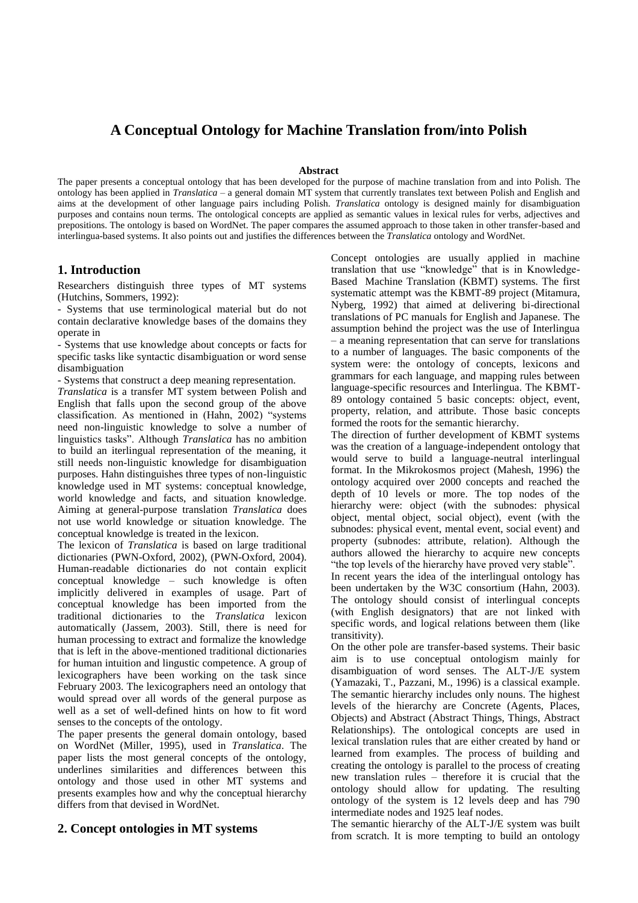# **A Conceptual Ontology for Machine Translation from/into Polish**

#### **Abstract**

The paper presents a conceptual ontology that has been developed for the purpose of machine translation from and into Polish. The ontology has been applied in *Translatica* – a general domain MT system that currently translates text between Polish and English and aims at the development of other language pairs including Polish. *Translatica* ontology is designed mainly for disambiguation purposes and contains noun terms. The ontological concepts are applied as semantic values in lexical rules for verbs, adjectives and prepositions. The ontology is based on WordNet. The paper compares the assumed approach to those taken in other transfer-based and interlingua-based systems. It also points out and justifies the differences between the *Translatica* ontology and WordNet.

#### **1. Introduction**

Researchers distinguish three types of MT systems (Hutchins, Sommers, 1992):

- Systems that use terminological material but do not contain declarative knowledge bases of the domains they operate in

- Systems that use knowledge about concepts or facts for specific tasks like syntactic disambiguation or word sense disambiguation

- Systems that construct a deep meaning representation.

*Translatica* is a transfer MT system between Polish and English that falls upon the second group of the above classification. As mentioned in (Hahn, 2002) "systems need non-linguistic knowledge to solve a number of linguistics tasks". Although *Translatica* has no ambition to build an iterlingual representation of the meaning, it still needs non-linguistic knowledge for disambiguation purposes. Hahn distinguishes three types of non-linguistic knowledge used in MT systems: conceptual knowledge, world knowledge and facts, and situation knowledge. Aiming at general-purpose translation *Translatica* does not use world knowledge or situation knowledge. The conceptual knowledge is treated in the lexicon.

The lexicon of *Translatica* is based on large traditional dictionaries (PWN-Oxford, 2002), (PWN-Oxford, 2004). Human-readable dictionaries do not contain explicit conceptual knowledge – such knowledge is often implicitly delivered in examples of usage. Part of conceptual knowledge has been imported from the traditional dictionaries to the *Translatica* lexicon automatically (Jassem, 2003). Still, there is need for human processing to extract and formalize the knowledge that is left in the above-mentioned traditional dictionaries for human intuition and lingustic competence. A group of lexicographers have been working on the task since February 2003. The lexicographers need an ontology that would spread over all words of the general purpose as well as a set of well-defined hints on how to fit word senses to the concepts of the ontology.

The paper presents the general domain ontology, based on WordNet (Miller, 1995), used in *Translatica*. The paper lists the most general concepts of the ontology, underlines similarities and differences between this ontology and those used in other MT systems and presents examples how and why the conceptual hierarchy differs from that devised in WordNet.

## **2. Concept ontologies in MT systems**

Concept ontologies are usually applied in machine translation that use "knowledge" that is in Knowledge-Based Machine Translation (KBMT) systems. The first systematic attempt was the KBMT-89 project (Mitamura, Nyberg, 1992) that aimed at delivering bi-directional translations of PC manuals for English and Japanese. The assumption behind the project was the use of Interlingua – a meaning representation that can serve for translations to a number of languages. The basic components of the system were: the ontology of concepts, lexicons and grammars for each language, and mapping rules between language-specific resources and Interlingua. The KBMT-89 ontology contained 5 basic concepts: object, event, property, relation, and attribute. Those basic concepts formed the roots for the semantic hierarchy.

The direction of further development of KBMT systems was the creation of a language-independent ontology that would serve to build a language-neutral interlingual format. In the Mikrokosmos project (Mahesh, 1996) the ontology acquired over 2000 concepts and reached the depth of 10 levels or more. The top nodes of the hierarchy were: object (with the subnodes: physical object, mental object, social object), event (with the subnodes: physical event, mental event, social event) and property (subnodes: attribute, relation). Although the authors allowed the hierarchy to acquire new concepts "the top levels of the hierarchy have proved very stable".

In recent years the idea of the interlingual ontology has been undertaken by the W3C consortium (Hahn, 2003). The ontology should consist of interlingual concepts (with English designators) that are not linked with specific words, and logical relations between them (like transitivity).

On the other pole are transfer-based systems. Their basic aim is to use conceptual ontologism mainly for disambiguation of word senses. The ALT-J/E system (Yamazaki, T., Pazzani, M., 1996) is a classical example. The semantic hierarchy includes only nouns. The highest levels of the hierarchy are Concrete (Agents, Places, Objects) and Abstract (Abstract Things, Things, Abstract Relationships). The ontological concepts are used in lexical translation rules that are either created by hand or learned from examples. The process of building and creating the ontology is parallel to the process of creating new translation rules – therefore it is crucial that the ontology should allow for updating. The resulting ontology of the system is 12 levels deep and has 790 intermediate nodes and 1925 leaf nodes.

The semantic hierarchy of the ALT-J/E system was built from scratch. It is more tempting to build an ontology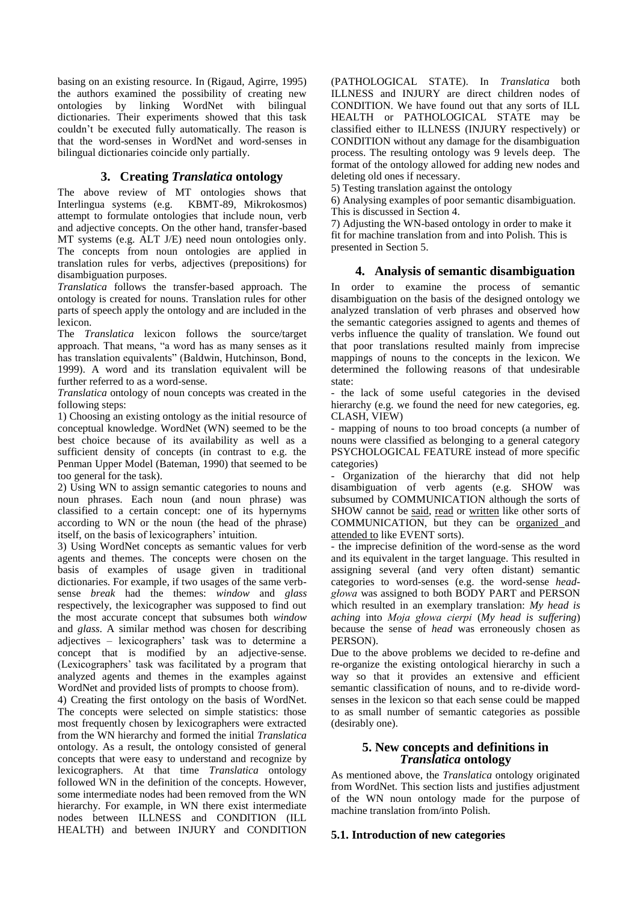basing on an existing resource. In (Rigaud, Agirre, 1995) the authors examined the possibility of creating new ontologies by linking WordNet with bilingual dictionaries. Their experiments showed that this task couldn't be executed fully automatically. The reason is that the word-senses in WordNet and word-senses in bilingual dictionaries coincide only partially.

## **3. Creating** *Translatica* **ontology**

The above review of MT ontologies shows that Interlingua systems (e.g. KBMT-89, Mikrokosmos) attempt to formulate ontologies that include noun, verb and adjective concepts. On the other hand, transfer-based MT systems (e.g. ALT J/E) need noun ontologies only. The concepts from noun ontologies are applied in translation rules for verbs, adjectives (prepositions) for disambiguation purposes.

*Translatica* follows the transfer-based approach. The ontology is created for nouns. Translation rules for other parts of speech apply the ontology and are included in the lexicon.

The *Translatica* lexicon follows the source/target approach. That means, "a word has as many senses as it has translation equivalents" (Baldwin, Hutchinson, Bond, 1999). A word and its translation equivalent will be further referred to as a word-sense.

*Translatica* ontology of noun concepts was created in the following steps:

1) Choosing an existing ontology as the initial resource of conceptual knowledge. WordNet (WN) seemed to be the best choice because of its availability as well as a sufficient density of concepts (in contrast to e.g. the Penman Upper Model (Bateman, 1990) that seemed to be too general for the task).

2) Using WN to assign semantic categories to nouns and noun phrases. Each noun (and noun phrase) was classified to a certain concept: one of its hypernyms according to WN or the noun (the head of the phrase) itself, on the basis of lexicographers' intuition.

3) Using WordNet concepts as semantic values for verb agents and themes. The concepts were chosen on the basis of examples of usage given in traditional dictionaries. For example, if two usages of the same verbsense *break* had the themes: *window* and *glass*  respectively, the lexicographer was supposed to find out the most accurate concept that subsumes both *window* and *glass*. A similar method was chosen for describing adjectives – lexicographers' task was to determine a concept that is modified by an adjective-sense. (Lexicographers' task was facilitated by a program that analyzed agents and themes in the examples against WordNet and provided lists of prompts to choose from).

4) Creating the first ontology on the basis of WordNet. The concepts were selected on simple statistics: those most frequently chosen by lexicographers were extracted from the WN hierarchy and formed the initial *Translatica*  ontology. As a result, the ontology consisted of general concepts that were easy to understand and recognize by lexicographers. At that time *Translatica* ontology followed WN in the definition of the concepts. However, some intermediate nodes had been removed from the WN hierarchy. For example, in WN there exist intermediate nodes between ILLNESS and CONDITION (ILL HEALTH) and between INJURY and CONDITION

(PATHOLOGICAL STATE). In *Translatica* both ILLNESS and INJURY are direct children nodes of CONDITION. We have found out that any sorts of ILL HEALTH or PATHOLOGICAL STATE may be classified either to ILLNESS (INJURY respectively) or CONDITION without any damage for the disambiguation process. The resulting ontology was 9 levels deep. The format of the ontology allowed for adding new nodes and deleting old ones if necessary.

5) Testing translation against the ontology

6) Analysing examples of poor semantic disambiguation. This is discussed in Section 4.

7) Adjusting the WN-based ontology in order to make it fit for machine translation from and into Polish. This is presented in Section 5.

## **4. Analysis of semantic disambiguation**

In order to examine the process of semantic disambiguation on the basis of the designed ontology we analyzed translation of verb phrases and observed how the semantic categories assigned to agents and themes of verbs influence the quality of translation. We found out that poor translations resulted mainly from imprecise mappings of nouns to the concepts in the lexicon. We determined the following reasons of that undesirable state:

- the lack of some useful categories in the devised hierarchy (e.g. we found the need for new categories, eg. CLASH, VIEW)

- mapping of nouns to too broad concepts (a number of nouns were classified as belonging to a general category PSYCHOLOGICAL FEATURE instead of more specific categories)

Organization of the hierarchy that did not help disambiguation of verb agents (e.g. SHOW was subsumed by COMMUNICATION although the sorts of SHOW cannot be said, read or written like other sorts of COMMUNICATION, but they can be organized and attended to like EVENT sorts).

- the imprecise definition of the word-sense as the word and its equivalent in the target language. This resulted in assigning several (and very often distant) semantic categories to word-senses (e.g. the word-sense *headgłowa* was assigned to both BODY PART and PERSON which resulted in an exemplary translation: *My head is aching* into *Moja głowa cierpi* (*My head is suffering*) because the sense of *head* was erroneously chosen as PERSON).

Due to the above problems we decided to re-define and re-organize the existing ontological hierarchy in such a way so that it provides an extensive and efficient semantic classification of nouns, and to re-divide wordsenses in the lexicon so that each sense could be mapped to as small number of semantic categories as possible (desirably one).

#### **5. New concepts and definitions in**  *Translatica* **ontology**

As mentioned above, the *Translatica* ontology originated from WordNet. This section lists and justifies adjustment of the WN noun ontology made for the purpose of machine translation from/into Polish.

#### **5.1. Introduction of new categories**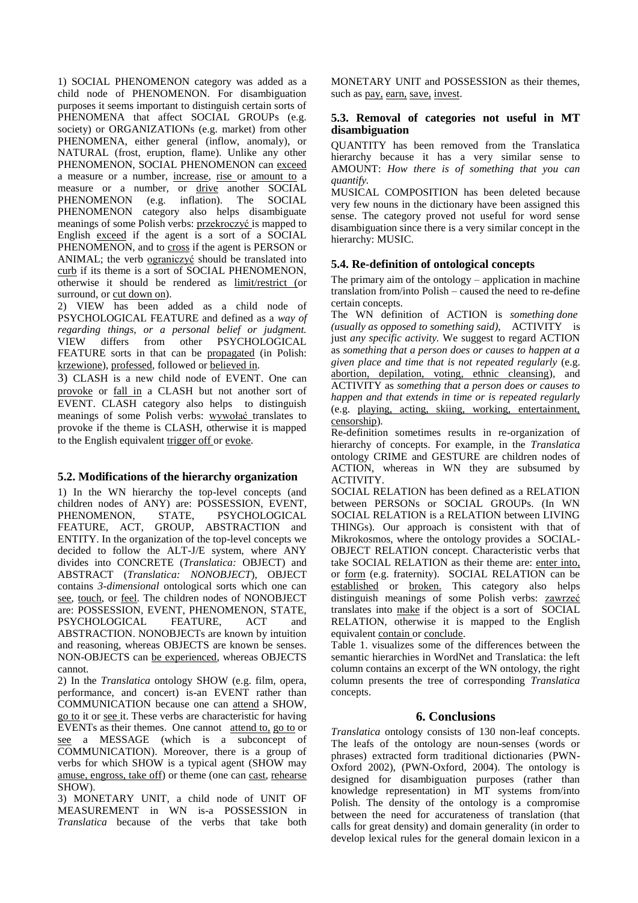1) SOCIAL PHENOMENON category was added as a child node of PHENOMENON. For disambiguation purposes it seems important to distinguish certain sorts of PHENOMENA that affect SOCIAL GROUPs (e.g. society) or ORGANIZATIONs (e.g. market) from other PHENOMENA, either general (inflow, anomaly), or NATURAL (frost, eruption, flame). Unlike any other PHENOMENON, SOCIAL PHENOMENON can exceed a measure or a number, increase, rise or amount to a measure or a number, or drive another SOCIAL PHENOMENON (e.g. inflation). The SOCIAL PHENOMENON category also helps disambiguate meanings of some Polish verbs: przekroczyć is mapped to English exceed if the agent is a sort of a SOCIAL PHENOMENON, and to cross if the agent is PERSON or ANIMAL; the verb ograniczyć should be translated into curb if its theme is a sort of SOCIAL PHENOMENON, otherwise it should be rendered as limit/restrict (or surround, or cut down on).

2) VIEW has been added as a child node of PSYCHOLOGICAL FEATURE and defined as a *way of regarding things, or a personal belief or judgment.* VIEW differs from other PSYCHOLOGICAL FEATURE sorts in that can be propagated (in Polish: krzewione), professed, followed or believed in.

3) CLASH is a new child node of EVENT. One can provoke or fall in a CLASH but not another sort of EVENT. CLASH category also helps to distinguish meanings of some Polish verbs: wywołać translates to provoke if the theme is CLASH, otherwise it is mapped to the English equivalent trigger off or evoke.

## **5.2. Modifications of the hierarchy organization**

1) In the WN hierarchy the top-level concepts (and children nodes of ANY) are: POSSESSION, EVENT, PHENOMENON, STATE, PSYCHOLOGICAL FEATURE, ACT, GROUP, ABSTRACTION and ENTITY. In the organization of the top-level concepts we decided to follow the ALT-J/E system, where ANY divides into CONCRETE (*Translatica:* OBJECT) and ABSTRACT (*Translatica: NONOBJECT*), OBJECT contains *3-dimensional* ontological sorts which one can see, touch, or feel. The children nodes of NONOBJECT are: POSSESSION, EVENT, PHENOMENON, STATE, PSYCHOLOGICAL FEATURE, ACT and ABSTRACTION. NONOBJECTs are known by intuition and reasoning, whereas OBJECTS are known be senses. NON-OBJECTS can be experienced, whereas OBJECTS cannot.

2) In the *Translatica* ontology SHOW (e.g. film, opera, performance, and concert) is-an EVENT rather than COMMUNICATION because one can attend a SHOW, go to it or see it. These verbs are characteristic for having EVENTs as their themes. One cannot attend to, go to or see a MESSAGE (which is a subconcept of COMMUNICATION). Moreover, there is a group of verbs for which SHOW is a typical agent (SHOW may amuse, engross, take off) or theme (one can cast, rehearse SHOW).

3) MONETARY UNIT, a child node of UNIT OF MEASUREMENT in WN is-a POSSESSION in *Translatica* because of the verbs that take both

MONETARY UNIT and POSSESSION as their themes, such as pay, earn, save, invest.

#### **5.3. Removal of categories not useful in MT disambiguation**

QUANTITY has been removed from the Translatica hierarchy because it has a very similar sense to AMOUNT: *How there is of something that you can quantify.* 

MUSICAL COMPOSITION has been deleted because very few nouns in the dictionary have been assigned this sense. The category proved not useful for word sense disambiguation since there is a very similar concept in the hierarchy: MUSIC.

## **5.4. Re-definition of ontological concepts**

The primary aim of the ontology – application in machine translation from/into Polish – caused the need to re-define certain concepts.

The WN definition of ACTION is *something done (usually as opposed to something said)*, ACTIVITY is just *any specific activity.* We suggest to regard ACTION as *something that a person does or causes to happen at a given place and time that is not repeated regularly* (e.g. abortion, depilation, voting, ethnic cleansing)*,* and ACTIVITY as *something that a person does or causes to happen and that extends in time or is repeated regularly*  (e.g. playing, acting, skiing, working, entertainment, censorship)*.* 

Re-definition sometimes results in re-organization of hierarchy of concepts. For example, in the *Translatica*  ontology CRIME and GESTURE are children nodes of ACTION, whereas in WN they are subsumed by ACTIVITY.

SOCIAL RELATION has been defined as a RELATION between PERSONs or SOCIAL GROUPs. (In WN SOCIAL RELATION is a RELATION between LIVING THINGs). Our approach is consistent with that of Mikrokosmos, where the ontology provides a SOCIAL-OBJECT RELATION concept. Characteristic verbs that take SOCIAL RELATION as their theme are: enter into, or form (e.g. fraternity). SOCIAL RELATION can be established or broken. This category also helps distinguish meanings of some Polish verbs: zawrzeć translates into make if the object is a sort of SOCIAL RELATION, otherwise it is mapped to the English equivalent contain or conclude.

Table 1. visualizes some of the differences between the semantic hierarchies in WordNet and Translatica: the left column contains an excerpt of the WN ontology, the right column presents the tree of corresponding *Translatica*  concepts.

## **6. Conclusions**

*Translatica* ontology consists of 130 non-leaf concepts. The leafs of the ontology are noun-senses (words or phrases) extracted form traditional dictionaries (PWN-Oxford 2002), (PWN-Oxford, 2004). The ontology is designed for disambiguation purposes (rather than knowledge representation) in MT systems from/into Polish. The density of the ontology is a compromise between the need for accurateness of translation (that calls for great density) and domain generality (in order to develop lexical rules for the general domain lexicon in a